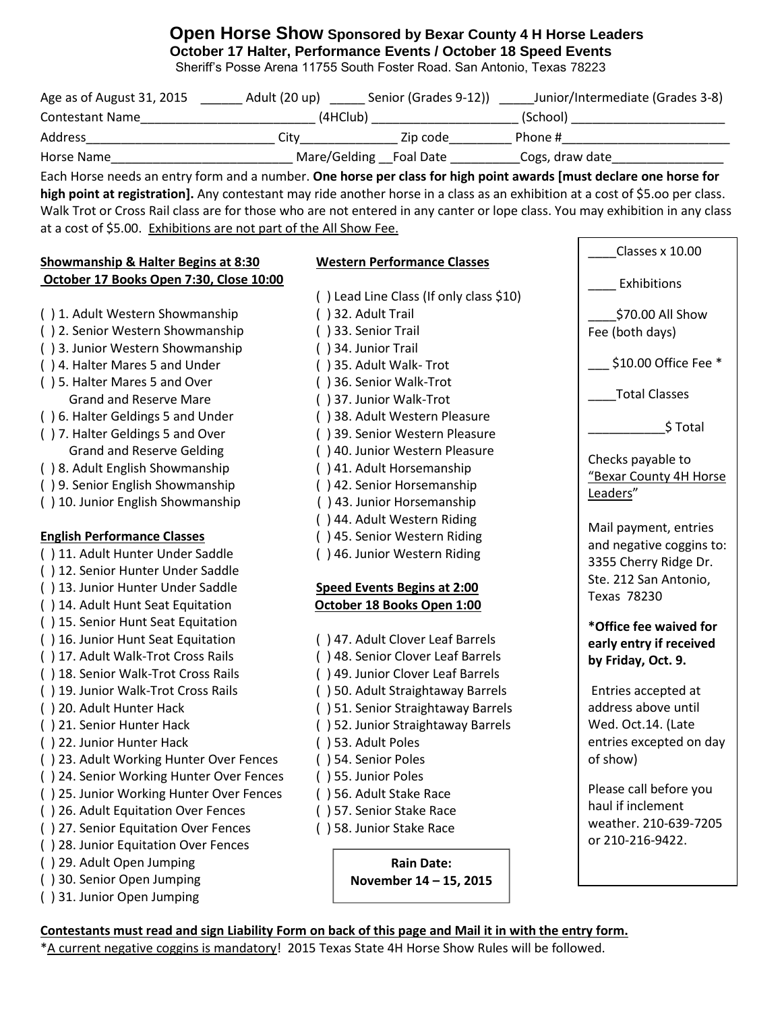## **Open Horse Show Sponsored by Bexar County 4 H Horse Leaders October 17 Halter, Performance Events / October 18 Speed Events**

Sheriff's Posse Arena 11755 South Foster Road. San Antonio, Texas 78223

| Age as of August 31, 2015 | Adult (20 up)          | Senior (Grades 9-12)) | Junior/Intermediate (Grades 3-8) |
|---------------------------|------------------------|-----------------------|----------------------------------|
| <b>Contestant Name</b>    | (4HClub)               |                       | (School)                         |
| <b>Address</b>            | Citv                   | Zip code              | Phone #                          |
| Horse Name                | Mare/Gelding Foal Date |                       | Cogs, draw date                  |

Each Horse needs an entry form and a number. **One horse per class for high point awards [must declare one horse for high point at registration].** Any contestant may ride another horse in a class as an exhibition at a cost of \$5.oo per class. Walk Trot or Cross Rail class are for those who are not entered in any canter or lope class. You may exhibition in any class at a cost of \$5.00. Exhibitions are not part of the All Show Fee.

## **Showmanship & Halter Begins at 8:30 Western Performance Classes**

( ) 31. Junior Open Jumping

\_\_\_\_Classes x 10.00

**October 17 Books Open 7:30, Close 10:00** ( ) Lead Line Class (If only class \$10) ( ) 1. Adult Western Showmanship ( ) 32. Adult Trail ( ) 2. Senior Western Showmanship ( ) 33. Senior Trail ( ) 3. Junior Western Showmanship ( ) 34. Junior Trail ( ) 4. Halter Mares 5 and Under ( ) 35. Adult Walk- Trot ( ) 5. Halter Mares 5 and Over ( ) 36. Senior Walk-Trot Grand and Reserve Mare ( ) 37. Junior Walk-Trot ( ) 6. Halter Geldings 5 and Under ( ) 38. Adult Western Pleasure ( ) 7. Halter Geldings 5 and Over ( ) 39. Senior Western Pleasure Grand and Reserve Gelding ( ) 40. Junior Western Pleasure ( ) 8. Adult English Showmanship ( ) 41. Adult Horsemanship ( ) 9. Senior English Showmanship ( ) 42. Senior Horsemanship ( ) 10. Junior English Showmanship ( ) 43. Junior Horsemanship ( ) 44. Adult Western Riding **English Performance Classes** ( ) 45. Senior Western Riding ( ) 11. Adult Hunter Under Saddle ( ) 46. Junior Western Riding ( ) 12. Senior Hunter Under Saddle ( ) 13. Junior Hunter Under Saddle **Speed Events Begins at 2:00**  ( ) 14. Adult Hunt Seat Equitation **October 18 Books Open 1:00** ( ) 15. Senior Hunt Seat Equitation ( ) 16. Junior Hunt Seat Equitation ( ) 47. Adult Clover Leaf Barrels ( ) 17. Adult Walk-Trot Cross Rails ( ) 48. Senior Clover Leaf Barrels ( ) 18. Senior Walk-Trot Cross Rails ( ) 49. Junior Clover Leaf Barrels ( ) 19. Junior Walk-Trot Cross Rails ( ) 50. Adult Straightaway Barrels ( ) 20. Adult Hunter Hack ( ) 51. Senior Straightaway Barrels ( ) 21. Senior Hunter Hack ( ) 52. Junior Straightaway Barrels ( ) 22. Junior Hunter Hack ( ) 53. Adult Poles ( ) 23. Adult Working Hunter Over Fences ( ) 54. Senior Poles ( ) 24. Senior Working Hunter Over Fences ( ) 55. Junior Poles ( ) 25. Junior Working Hunter Over Fences ( ) 56. Adult Stake Race ( ) 26. Adult Equitation Over Fences ( ) 57. Senior Stake Race ( ) 27. Senior Equitation Over Fences ( ) 58. Junior Stake Race ( ) 28. Junior Equitation Over Fences ( ) 29. Adult Open Jumping ( ) 30. Senior Open Jumping \_\_\_\_ Exhibitions \_\_\_\_\$70.00 All Show Fee (both days)  $$10.00$  Office Fee  $*$ \_\_\_\_Total Classes \_\_\_\_\_\_\_\_\_\_\_\$ Total Checks payable to "Bexar County 4H Horse Leaders" Mail payment, entries and negative coggins to: 3355 Cherry Ridge Dr. Ste. 212 San Antonio, Texas 78230 **\*Office fee waived for early entry if received by Friday, Oct. 9.** Entries accepted at address above until Wed. Oct.14. (Late entries excepted on day of show) Please call before you haul if inclement weather. 210-639-7205 or 210-216-9422. **Rain Date: November 14 – 15, 2015**

\*A current negative coggins is mandatory! 2015 Texas State 4H Horse Show Rules will be followed.